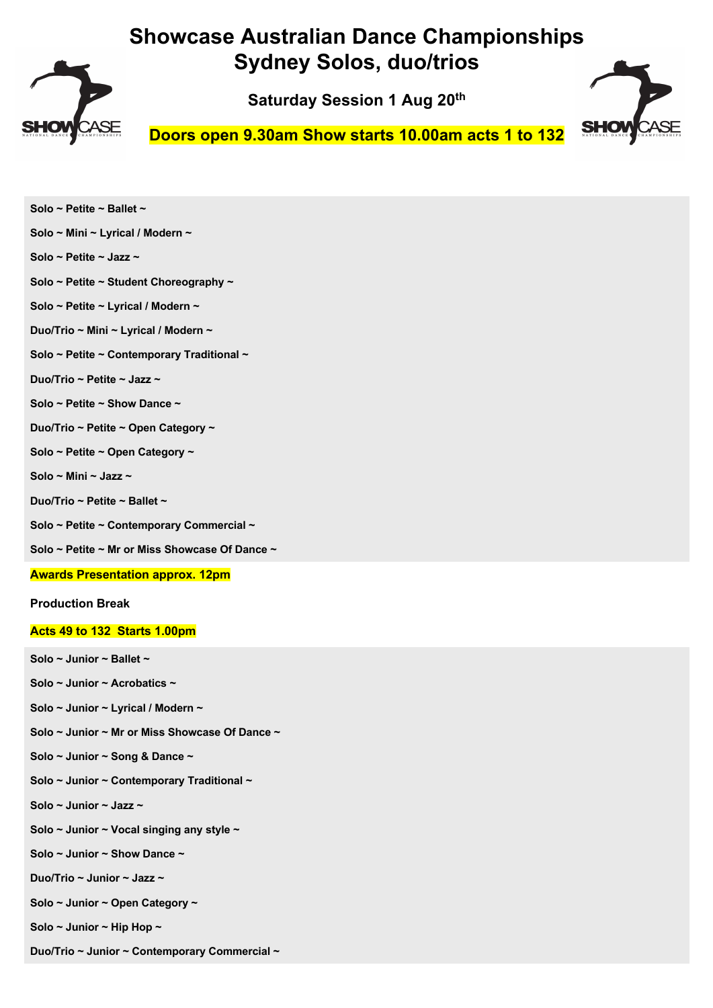

**Saturday Session 1 Aug 20th**



**Doors open 9.30am Show starts 10.00am acts 1 to 132**

| Solo ~ Petite ~ Ballet ~                       |
|------------------------------------------------|
| Solo ~ Mini ~ Lyrical / Modern ~               |
| Solo ~ Petite ~ Jazz ~                         |
| Solo ~ Petite ~ Student Choreography ~         |
| Solo ~ Petite ~ Lyrical / Modern ~             |
| Duo/Trio ~ Mini ~ Lyrical / Modern ~           |
| Solo ~ Petite ~ Contemporary Traditional ~     |
| Duo/Trio ~ Petite ~ Jazz ~                     |
| Solo ~ Petite ~ Show Dance ~                   |
| Duo/Trio ~ Petite ~ Open Category ~            |
| Solo ~ Petite ~ Open Category ~                |
| Solo ~ Mini ~ Jazz ~                           |
| Duo/Trio ~ Petite ~ Ballet ~                   |
| Solo ~ Petite ~ Contemporary Commercial ~      |
| Solo ~ Petite ~ Mr or Miss Showcase Of Dance ~ |
| <b>Awards Presentation approx. 12pm</b>        |
| <b>Production Break</b>                        |
| Acts 49 to 132 Starts 1.00pm                   |
| Solo ~ Junior ~ Ballet ~                       |

**Solo ~ Junior ~ Acrobatics ~** 

- **Solo ~ Junior ~ Lyrical / Modern ~**
- **Solo ~ Junior ~ Mr or Miss Showcase Of Dance ~**
- **Solo ~ Junior ~ Song & Dance ~**
- **Solo ~ Junior ~ Contemporary Traditional ~**
- **Solo ~ Junior ~ Jazz ~**
- **Solo ~ Junior ~ Vocal singing any style ~**
- **Solo ~ Junior ~ Show Dance ~**
- **Duo/Trio ~ Junior ~ Jazz ~**
- **Solo ~ Junior ~ Open Category ~**
- **Solo ~ Junior ~ Hip Hop ~**
- **Duo/Trio ~ Junior ~ Contemporary Commercial ~**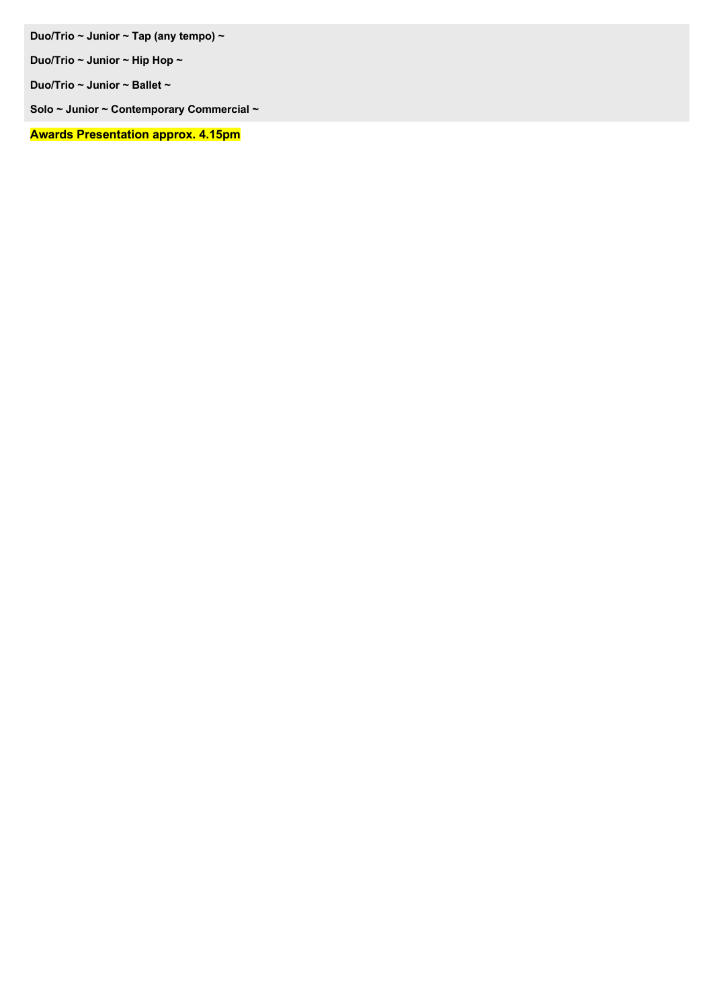**Duo/Trio ~ Junior ~ Tap (any tempo) ~** 

**Duo/Trio ~ Junior ~ Hip Hop ~** 

**Duo/Trio ~ Junior ~ Ballet ~** 

**Solo ~ Junior ~ Contemporary Commercial ~** 

**Awards Presentation approx. 4.15pm**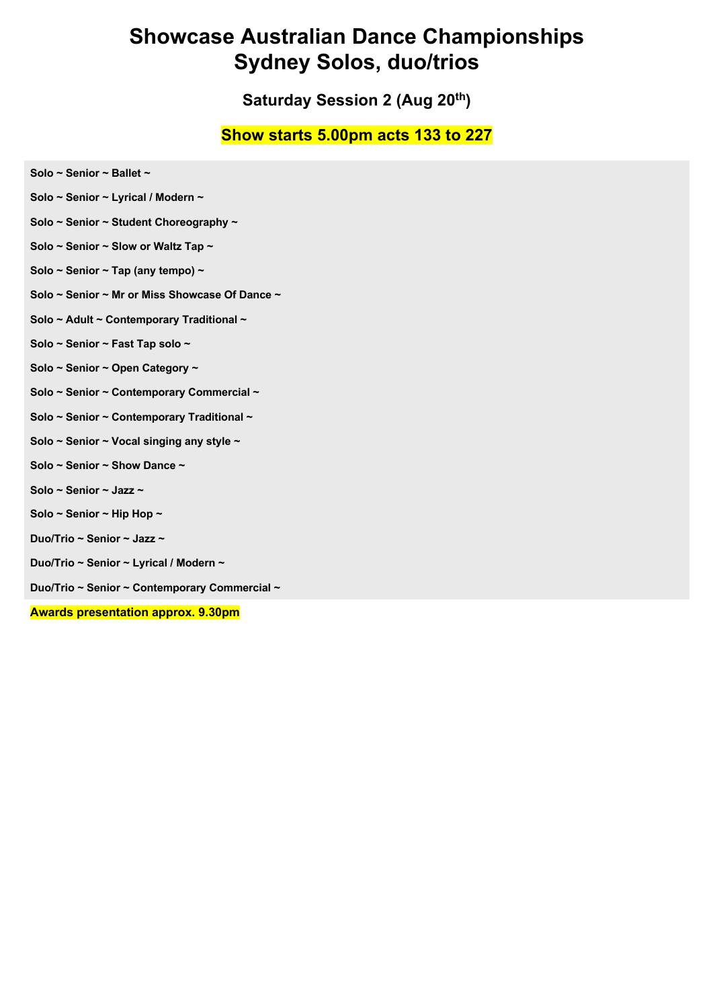**Saturday Session 2 (Aug 20th)** 

#### **Show starts 5.00pm acts 133 to 227**

- **Solo ~ Senior ~ Ballet ~**
- **Solo ~ Senior ~ Lyrical / Modern ~**
- **Solo ~ Senior ~ Student Choreography ~**
- **Solo ~ Senior ~ Slow or Waltz Tap ~**
- **Solo ~ Senior ~ Tap (any tempo) ~**
- **Solo ~ Senior ~ Mr or Miss Showcase Of Dance ~**
- **Solo ~ Adult ~ Contemporary Traditional ~**
- **Solo ~ Senior ~ Fast Tap solo ~**
- **Solo ~ Senior ~ Open Category ~**
- **Solo ~ Senior ~ Contemporary Commercial ~**
- **Solo ~ Senior ~ Contemporary Traditional ~**
- **Solo ~ Senior ~ Vocal singing any style ~**
- **Solo ~ Senior ~ Show Dance ~**
- **Solo ~ Senior ~ Jazz ~**
- **Solo ~ Senior ~ Hip Hop ~**
- **Duo/Trio ~ Senior ~ Jazz ~**
- **Duo/Trio ~ Senior ~ Lyrical / Modern ~**
- **Duo/Trio ~ Senior ~ Contemporary Commercial ~**

**Awards presentation approx. 9.30pm**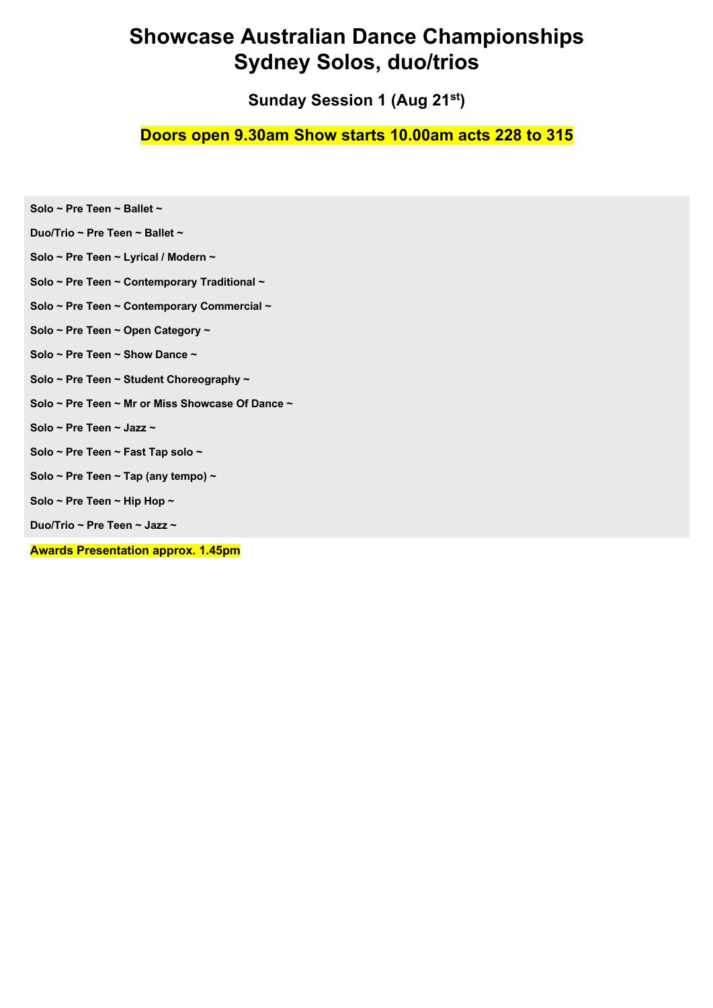**Sunday Session 1 (Aug 21st)**

### **Doors open 9.30am Show starts 10.00am acts 228 to 315**

| Duo/Trio ~ Pre Teen ~ Ballet ~                   |
|--------------------------------------------------|
| Solo ~ Pre Teen ~ Lyrical / Modern ~             |
| Solo ~ Pre Teen ~ Contemporary Traditional ~     |
| Solo ~ Pre Teen ~ Contemporary Commercial ~      |
| Solo ~ Pre Teen ~ Open Category ~                |
| Solo ~ Pre Teen ~ Show Dance ~                   |
| Solo ~ Pre Teen ~ Student Choreography ~         |
| Solo ~ Pre Teen ~ Mr or Miss Showcase Of Dance ~ |
| Solo ~ Pre Teen ~ Jazz ~                         |
| Solo ~ Pre Teen ~ Fast Tap solo ~                |
| Solo ~ Pre Teen ~ Tap (any tempo) ~              |
| Solo ~ Pre Teen ~ Hip Hop ~                      |
| Duo/Trio ~ Pre Teen ~ Jazz ~                     |
| <b>Awards Presentation approx. 1.45pm</b>        |

**Solo ~ Pre Teen ~ Ballet ~**